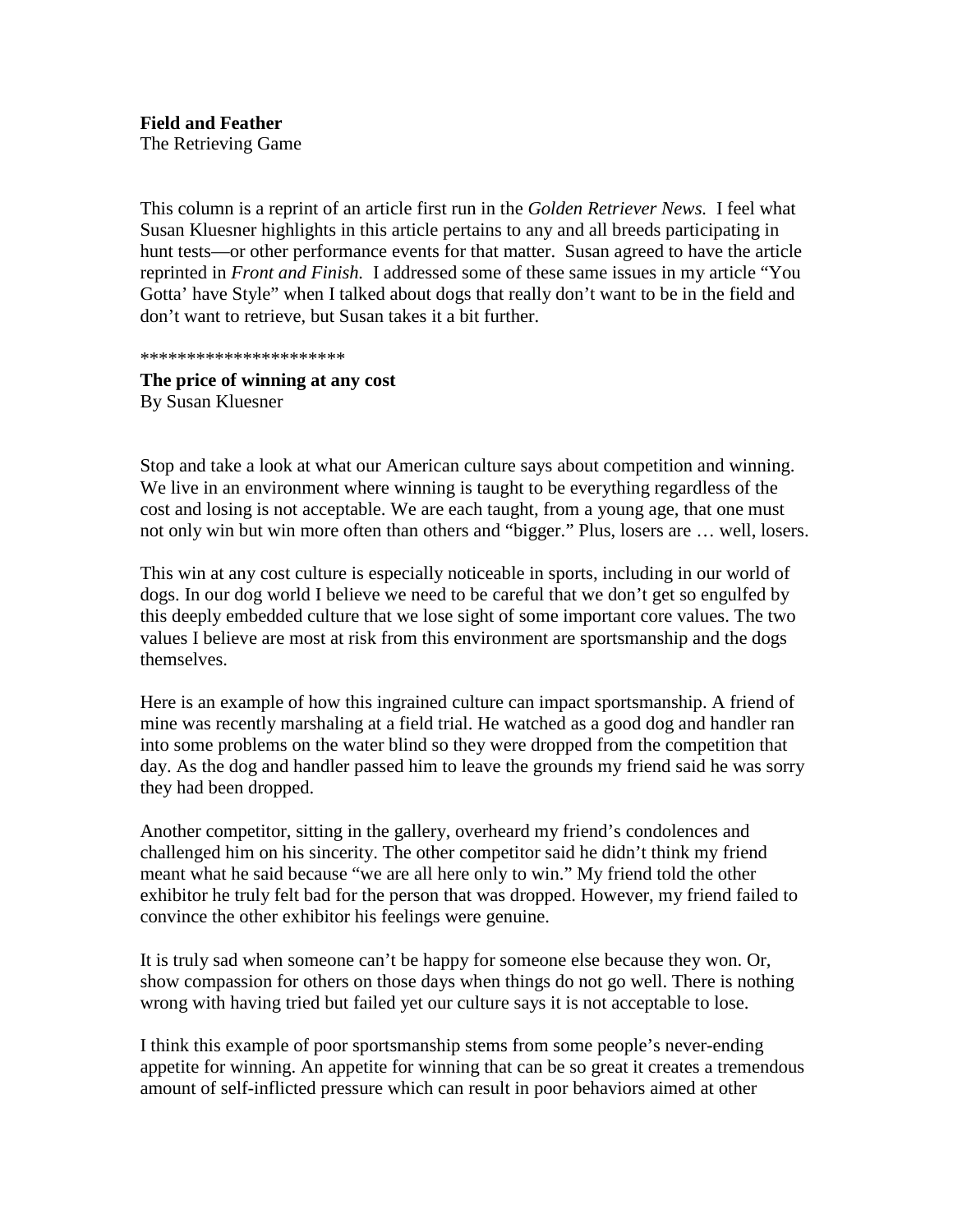The Retrieving Game

This column is a reprint of an article first run in the *Golden Retriever News.* I feel what Susan Kluesner highlights in this article pertains to any and all breeds participating in hunt tests —oro there performance ev ents for that matter. Susan agreed to have the article reprinted in *Front and Finish*. Iaddressed some of these same issues in myarticle "You Gotta' have Style" when I talked about dogs that really don't want to be in the field and don't want to retriev e, but Susan takes it a bit further.

## \*\*\*\*\*\*\*\*\*\*\*\*\*\*\*\*\*\*\*\*\*\*

**The price of winning at any cost BySusanKluesner** 

Stop and take a look at what our American cultures ays a bout competition and winning. We live in an environment where winning is taught to be everything regardless of the cost and losing is not acceptable. We are each taught, from a young age, that one must not only win but win more often than other sand "bigger." Plus, losers are ... well, losers.

This win at any cost culture is especially noti ceable in sports, including in our world of dogs. Inour dogworld I believe we need to be careful that we don't get so engulfed by this deeply embedded culture that we loses ight of some important core values. The two values I believe are most at risk from methis environment are sports manship and the dogs themselves.

Here is an example of how this ingrained culture can impact sports manship. A friend of mine was recently marshaling at a field trial. He watched as a good dog and handler ran into some problems on the water blinds other ywere dropped from the competition that day. As the dog and handler passed him to leave the grounds my friend said he was sorry they had been dropped.

Another competitor, sitting in the gallery, overheard my friend's condolences and challenged him on his sincerity. The other competitors aid hedidn't think my friend meant what he said because "we are all here only to win." My friend told the other exhibitor hetruly felt bad for the person that was dropped. However, my friend fai led to convince the other exhibit or his feelings were genuine.

Itistruly sad when some one can't be happy for some one else because they won. Or, show compassion for other sonthosed ays when things do not go well. The reisnothing wrong with having tried but failed yet our cultures aysitis not acceptable to lose.

Ithink this example of poorsports man shipstems from some people's never -ending appetite for winning. An appetite for winning that can be so great it creates a tremendous amount of self -inflicted pressure which can result in poor behaviors aimed at other